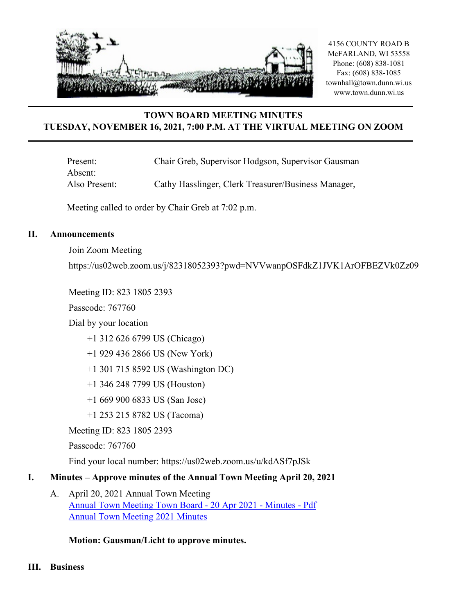

# **TOWN BOARD MEETING MINUTES TUESDAY, NOVEMBER 16, 2021, 7:00 P.M. AT THE VIRTUAL MEETING ON ZOOM**

Present: Chair Greb, Supervisor Hodgson, Supervisor Gausman Absent: Also Present: Cathy Hasslinger, Clerk Treasurer/Business Manager,

Meeting called to order by Chair Greb at 7:02 p.m.

#### **II. Announcements**

Join Zoom Meeting

https://us02web.zoom.us/j/82318052393?pwd=NVVwanpOSFdkZ1JVK1ArOFBEZVk0Zz09

Meeting ID: 823 1805 2393

Passcode: 767760

Dial by your location

+1 312 626 6799 US (Chicago)

+1 929 436 2866 US (New York)

+1 301 715 8592 US (Washington DC)

- +1 346 248 7799 US (Houston)
- +1 669 900 6833 US (San Jose)

+1 253 215 8782 US (Tacoma)

Meeting ID: 823 1805 2393

Passcode: 767760

Find your local number: https://us02web.zoom.us/u/kdASf7pJSk

### **I. Minutes – Approve minutes of the Annual Town Meeting April 20, 2021**

A. April 20, 2021 Annual Town Meeting [Annual Town Meeting Town Board - 20 Apr 2021 - Minutes - Pdf](http://dunn.civicweb.net/document/21257/Annual%20Town%20Meeting%20Town%20Board%20-%2020%20Apr%202021%20-%20Min.pdf?handle=A388591A65B04C76912D2C76D0E096AE) [Annual Town Meeting 2021 Minutes](http://dunn.civicweb.net/document/21294/Annual%20Town%20Meeting%202021%20Minutes.pdf?handle=F22F4AE871754B4F93319A65A0C84102)

### **Motion: Gausman/Licht to approve minutes.**

**III. Business**